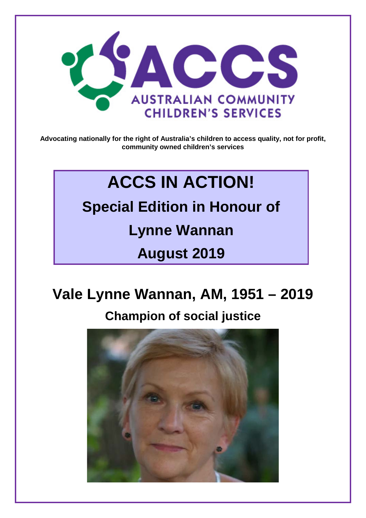

**Advocating nationally for the right of Australia's children to access quality, not for profit, community owned children's services**

## **ACCS IN ACTION!**

**Special Edition in Honour of Lynne Wannan August 2019**

# **Vale Lynne Wannan, AM, 1951 – 2019**

### **Champion of social justice**

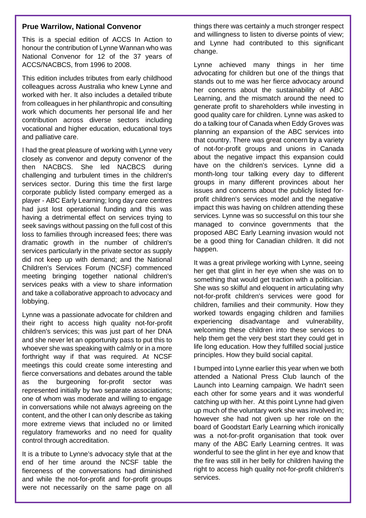#### **Prue Warrilow, National Convenor**

This is a special edition of ACCS In Action to honour the contribution of Lynne Wannan who was National Convenor for 12 of the 37 years of ACCS/NACBCS, from 1996 to 2008.

This edition includes tributes from early childhood colleagues across Australia who knew Lynne and worked with her. It also includes a detailed tribute from colleagues in her philanthropic and consulting work which documents her personal life and her contribution across diverse sectors including vocational and higher education, educational toys and palliative care.

I had the great pleasure of working with Lynne very closely as convenor and deputy convenor of the then NACBCS. She led NACBCS during challenging and turbulent times in the children's services sector. During this time the first large corporate publicly listed company emerged as a player - ABC Early Learning; long day care centres had just lost operational funding and this was having a detrimental effect on services trying to seek savings without passing on the full cost of this loss to families through increased fees; there was dramatic growth in the number of children's services particularly in the private sector as supply did not keep up with demand; and the National Children's Services Forum (NCSF) commenced meeting bringing together national children's services peaks with a view to share information and take a collaborative approach to advocacy and lobbying.

Lynne was a passionate advocate for children and their right to access high quality not-for-profit children's services; this was just part of her DNA and she never let an opportunity pass to put this to whoever she was speaking with calmly or in a more forthright way if that was required. At NCSF meetings this could create some interesting and fierce conversations and debates around the table as the burgeoning for-profit sector was represented initially by two separate associations; one of whom was moderate and willing to engage in conversations while not always agreeing on the content, and the other I can only describe as taking more extreme views that included no or limited regulatory frameworks and no need for quality control through accreditation.

It is a tribute to Lynne's advocacy style that at the end of her time around the NCSF table the fierceness of the conversations had diminished and while the not-for-profit and for-profit groups were not necessarily on the same page on all

things there was certainly a much stronger respect and willingness to listen to diverse points of view; and Lynne had contributed to this significant change.

Lynne achieved many things in her time advocating for children but one of the things that stands out to me was her fierce advocacy around her concerns about the sustainability of ABC Learning, and the mismatch around the need to generate profit to shareholders while investing in good quality care for children. Lynne was asked to do a talking tour of Canada when Eddy Groves was planning an expansion of the ABC services into that country. There was great concern by a variety of not-for-profit groups and unions in Canada about the negative impact this expansion could have on the children's services. Lynne did a month-long tour talking every day to different groups in many different provinces about her issues and concerns about the publicly listed forprofit children's services model and the negative impact this was having on children attending these services. Lynne was so successful on this tour she managed to convince governments that the proposed ABC Early Learning invasion would not be a good thing for Canadian children. It did not happen.

It was a great privilege working with Lynne, seeing her get that glint in her eye when she was on to something that would get traction with a politician. She was so skilful and eloquent in articulating why not-for-profit children's services were good for children, families and their community. How they worked towards engaging children and families experiencing disadvantage and vulnerability, welcoming these children into these services to help them get the very best start they could get in life long education. How they fulfilled social justice principles. How they build social capital.

I bumped into Lynne earlier this year when we both attended a National Press Club launch of the Launch into Learning campaign. We hadn't seen each other for some years and it was wonderful catching up with her. At this point Lynne had given up much of the voluntary work she was involved in; however she had not given up her role on the board of Goodstart Early Learning which ironically was a not-for-profit organisation that took over many of the ABC Early Learning centres. It was wonderful to see the glint in her eye and know that the fire was still in her belly for children having the right to access high quality not-for-profit children's services.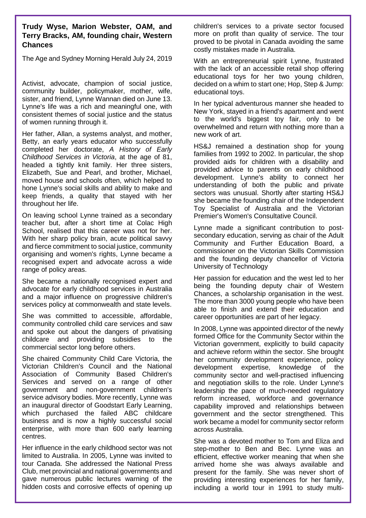**Trudy Wyse, Marion Webster, OAM, and Terry Bracks, AM, founding chair, Western Chances**

The Age and Sydney Morning Herald July 24, 2019

Activist, advocate, champion of social justice, community builder, policymaker, mother, wife, sister, and friend, Lynne Wannan died on June 13. Lynne's life was a rich and meaningful one, with consistent themes of social justice and the status of women running through it.

Her father, Allan, a systems analyst, and mother, Betty, an early years educator who successfully completed her doctorate, *A History of Early Childhood Services in Victoria*, at the age of 81, headed a tightly knit family. Her three sisters, Elizabeth, Sue and Pearl, and brother, Michael, moved house and schools often, which helped to hone Lynne's social skills and ability to make and keep friends, a quality that stayed with her throughout her life.

On leaving school Lynne trained as a secondary teacher but, after a short time at Colac High School, realised that this career was not for her. With her sharp policy brain, acute political savvy and fierce commitment to social justice, community organising and women's rights, Lynne became a recognised expert and advocate across a wide range of policy areas.

She became a nationally recognised expert and advocate for early childhood services in Australia and a major influence on progressive children's services policy at commonwealth and state levels.

She was committed to accessible, affordable, community controlled child care services and saw and spoke out about the dangers of privatising childcare and providing subsidies to the commercial sector long before others.

She chaired Community Child Care Victoria, the Victorian Children's Council and the National Association of Community Based Children's Services and served on a range of other government and non-government children's service advisory bodies. More recently, Lynne was an inaugural director of Goodstart Early Learning, which purchased the failed ABC childcare business and is now a highly successful social enterprise, with more than 600 early learning centres.

Her influence in the early childhood sector was not limited to Australia. In 2005, Lynne was invited to tour Canada. She addressed the National Press Club, met provincial and national governments and gave numerous public lectures warning of the hidden costs and corrosive effects of opening up

children's services to a private sector focused more on profit than quality of service. The tour proved to be pivotal in Canada avoiding the same costly mistakes made in Australia.

With an entrepreneurial spirit Lynne, frustrated with the lack of an accessible retail shop offering educational toys for her two young children, decided on a whim to start one; Hop, Step & Jump: educational toys.

In her typical adventurous manner she headed to New York, stayed in a friend's apartment and went to the world's biggest toy fair, only to be overwhelmed and return with nothing more than a new work of art.

HS&J remained a destination shop for young families from 1992 to 2002. In particular, the shop provided aids for children with a disability and provided advice to parents on early childhood development. Lynne's ability to connect her understanding of both the public and private sectors was unusual. Shortly after starting HS&J she became the founding chair of the Independent Toy Specialist of Australia and the Victorian Premier's Women's Consultative Council.

Lynne made a significant contribution to postsecondary education, serving as chair of the Adult Community and Further Education Board, a commissioner on the Victorian Skills Commission and the founding deputy chancellor of Victoria University of Technology

Her passion for education and the west led to her being the founding deputy chair of Western Chances, a scholarship organisation in the west. The more than 3000 young people who have been able to finish and extend their education and career opportunities are part of her legacy.

In 2008, Lynne was appointed director of the newly formed Office for the Community Sector within the Victorian government, explicitly to build capacity and achieve reform within the sector. She brought her community development experience, policy development expertise, knowledge of the community sector and well-practised influencing and negotiation skills to the role. Under Lynne's leadership the pace of much-needed regulatory reform increased, workforce and governance capability improved and relationships between government and the sector strengthened. This work became a model for community sector reform across Australia.

She was a devoted mother to Tom and Eliza and step-mother to Ben and Bec. Lynne was an efficient, effective worker meaning that when she arrived home she was always available and present for the family. She was never short of providing interesting experiences for her family, including a world tour in 1991 to study multi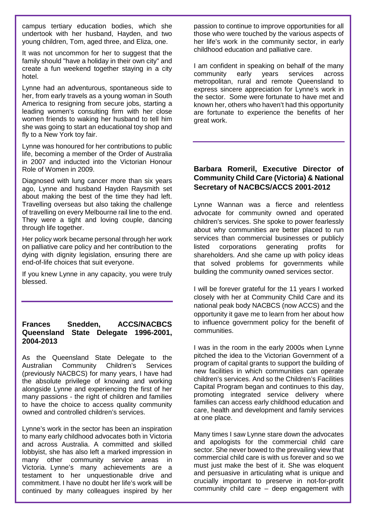campus tertiary education bodies, which she undertook with her husband, Hayden, and two young children, Tom, aged three, and Eliza, one.

It was not uncommon for her to suggest that the family should "have a holiday in their own city" and create a fun weekend together staying in a city hotel.

Lynne had an adventurous, spontaneous side to her, from early travels as a young woman in South America to resigning from secure jobs, starting a leading women's consulting firm with her close women friends to waking her husband to tell him she was going to start an educational toy shop and fly to a New York toy fair.

Lynne was honoured for her contributions to public life, becoming a member of the Order of Australia in 2007 and inducted into the Victorian Honour Role of Women in 2009.

Diagnosed with lung cancer more than six years ago, Lynne and husband Hayden Raysmith set about making the best of the time they had left. Travelling overseas but also taking the challenge of travelling on every Melbourne rail line to the end. They were a tight and loving couple, dancing through life together.

Her policy work became personal through her work on palliative care policy and her contribution to the dying with dignity legislation, ensuring there are end-of-life choices that suit everyone.

If you knew Lynne in any capacity, you were truly blessed.

#### **Frances Snedden, ACCS/NACBCS Queensland State Delegate 1996-2001, 2004-2013**

As the Queensland State Delegate to the Australian Community Children's Services (previously NACBCS) for many years, I have had the absolute privilege of knowing and working alongside Lynne and experiencing the first of her many passions - the right of children and families to have the choice to access quality community owned and controlled children's services.

Lynne's work in the sector has been an inspiration to many early childhood advocates both in Victoria and across Australia. A committed and skilled lobbyist, she has also left a marked impression in many other community service areas in Victoria. Lynne's many achievements are a testament to her unquestionable drive and commitment. I have no doubt her life's work will be continued by many colleagues inspired by her passion to continue to improve opportunities for all those who were touched by the various aspects of her life's work in the community sector, in early childhood education and palliative care.

I am confident in speaking on behalf of the many community early years services across metropolitan, rural and remote Queensland to express sincere appreciation for Lynne's work in the sector. Some were fortunate to have met and known her, others who haven't had this opportunity are fortunate to experience the benefits of her great work.

#### **Barbara Romeril, Executive Director of Community Child Care (Victoria) & National Secretary of NACBCS/ACCS 2001-2012**

Lynne Wannan was a fierce and relentless advocate for community owned and operated children's services. She spoke to power fearlessly about why communities are better placed to run services than commercial businesses or publicly listed corporations generating profits for shareholders. And she came up with policy ideas that solved problems for governments while building the community owned services sector.

I will be forever grateful for the 11 years I worked closely with her at Community Child Care and its national peak body NACBCS (now ACCS) and the opportunity it gave me to learn from her about how to influence government policy for the benefit of communities.

I was in the room in the early 2000s when Lynne pitched the idea to the Victorian Government of a program of capital grants to support the building of new facilities in which communities can operate children's services. And so the Children's Facilities Capital Program began and continues to this day, promoting integrated service delivery where families can access early childhood education and care, health and development and family services at one place.

Many times I saw Lynne stare down the advocates and apologists for the commercial child care sector. She never bowed to the prevailing view that commercial child care is with us forever and so we must just make the best of it. She was eloquent and persuasive in articulating what is unique and crucially important to preserve in not-for-profit community child care – deep engagement with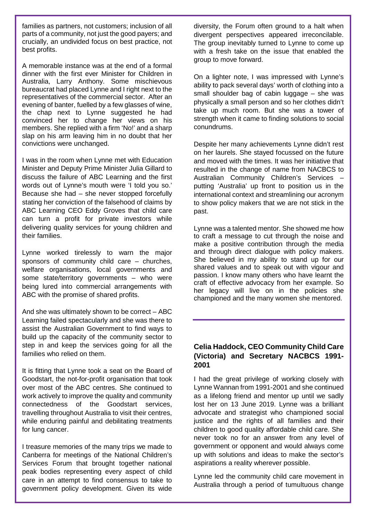families as partners, not customers; inclusion of all parts of a community, not just the good payers; and crucially, an undivided focus on best practice, not best profits.

A memorable instance was at the end of a formal dinner with the first ever Minister for Children in Australia, Larry Anthony. Some mischievous bureaucrat had placed Lynne and I right next to the representatives of the commercial sector. After an evening of banter, fuelled by a few glasses of wine, the chap next to Lynne suggested he had convinced her to change her views on his members. She replied with a firm 'No!' and a sharp slap on his arm leaving him in no doubt that her convictions were unchanged.

I was in the room when Lynne met with Education Minister and Deputy Prime Minister Julia Gillard to discuss the failure of ABC Learning and the first words out of Lynne's mouth were 'I told you so.' Because she had – she never stopped forcefully stating her conviction of the falsehood of claims by ABC Learning CEO Eddy Groves that child care can turn a profit for private investors while delivering quality services for young children and their families.

Lynne worked tirelessly to warn the major sponsors of community child care – churches, welfare organisations, local governments and some state/territory governments – who were being lured into commercial arrangements with ABC with the promise of shared profits.

And she was ultimately shown to be correct – ABC Learning failed spectacularly and she was there to assist the Australian Government to find ways to build up the capacity of the community sector to step in and keep the services going for all the families who relied on them.

It is fitting that Lynne took a seat on the Board of Goodstart, the not-for-profit organisation that took over most of the ABC centres. She continued to work actively to improve the quality and community connectedness of the Goodstart services, travelling throughout Australia to visit their centres, while enduring painful and debilitating treatments for lung cancer.

I treasure memories of the many trips we made to Canberra for meetings of the National Children's Services Forum that brought together national peak bodies representing every aspect of child care in an attempt to find consensus to take to government policy development. Given its wide diversity, the Forum often ground to a halt when divergent perspectives appeared irreconcilable. The group inevitably turned to Lynne to come up with a fresh take on the issue that enabled the group to move forward.

On a lighter note, I was impressed with Lynne's ability to pack several days' worth of clothing into a small shoulder bag of cabin luggage – she was physically a small person and so her clothes didn't take up much room. But she was a tower of strength when it came to finding solutions to social conundrums.

Despite her many achievements Lynne didn't rest on her laurels. She stayed focussed on the future and moved with the times. It was her initiative that resulted in the change of name from NACBCS to Australian Community Children's Services – putting 'Australia' up front to position us in the international context and streamlining our acronym to show policy makers that we are not stick in the past.

Lynne was a talented mentor. She showed me how to craft a message to cut through the noise and make a positive contribution through the media and through direct dialogue with policy makers. She believed in my ability to stand up for our shared values and to speak out with vigour and passion. I know many others who have learnt the craft of effective advocacy from her example. So her legacy will live on in the policies she championed and the many women she mentored.

#### **Celia Haddock, CEO Community Child Care (Victoria) and Secretary NACBCS 1991- 2001**

I had the great privilege of working closely with Lynne Wannan from 1991-2001 and she continued as a lifelong friend and mentor up until we sadly lost her on 13 June 2019. Lynne was a brilliant advocate and strategist who championed social justice and the rights of all families and their children to good quality affordable child care. She never took no for an answer from any level of government or opponent and would always come up with solutions and ideas to make the sector's aspirations a reality wherever possible.

Lynne led the community child care movement in Australia through a period of tumultuous change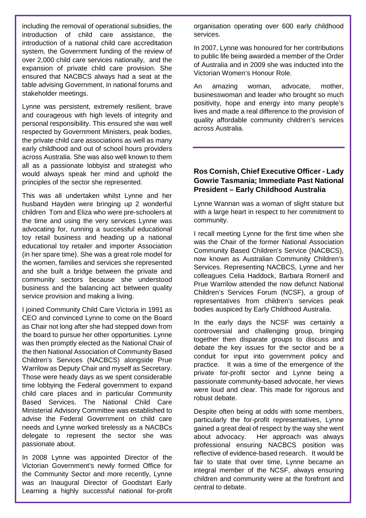including the removal of operational subsidies, the introduction of child care assistance, the introduction of a national child care accreditation system, the Government funding of the review of over 2,000 child care services nationally, and the expansion of private child care provision. She ensured that NACBCS always had a seat at the table advising Government, in national forums and stakeholder meetings.

Lynne was persistent, extremely resilient, brave and courageous with high levels of integrity and personal responsibility. This ensured she was well respected by Government Ministers, peak bodies, the private child care associations as well as many early childhood and out of school hours providers across Australia. She was also well known to them all as a passionate lobbyist and strategist who would always speak her mind and uphold the principles of the sector she represented.

This was all undertaken whilst Lynne and her husband Hayden were bringing up 2 wonderful children Tom and Eliza who were pre-schoolers at the time and using the very services Lynne was advocating for, running a successful educational toy retail business and heading up a national educational toy retailer and importer Association (in her spare time). She was a great role model for the women, families and services she represented and she built a bridge between the private and community sectors because she understood business and the balancing act between quality service provision and making a living.

I joined Community Child Care Victoria in 1991 as CEO and convinced Lynne to come on the Board as Chair not long after she had stepped down from the board to pursue her other opportunities. Lynne was then promptly elected as the National Chair of the then National Association of Community Based Children's Services (NACBCS) alongside Prue Warrilow as Deputy Chair and myself as Secretary. Those were heady days as we spent considerable time lobbying the Federal government to expand child care places and in particular Community Based Services. The National Child Care Ministerial Advisory Committee was established to advise the Federal Government on child care needs and Lynne worked tirelessly as a NACBCs delegate to represent the sector she was passionate about.

In 2008 Lynne was appointed Director of the Victorian Government's newly formed Office for the Community Sector and more recently, Lynne was an Inaugural Director of Goodstart Early Learning a highly successful national for-profit organisation operating over 600 early childhood services.

In 2007, Lynne was honoured for her contributions to public life being awarded a member of the Order of Australia and in 2009 she was inducted into the Victorian Women's Honour Role.

An amazing woman, advocate, mother, businesswoman and leader who brought so much positivity, hope and energy into many people's lives and made a real difference to the provision of quality affordable community children's services across Australia.

#### **Ros Cornish, Chief Executive Officer - Lady Gowrie Tasmania; Immediate Past National President – Early Childhood Australia**

Lynne Wannan was a woman of slight stature but with a large heart in respect to her commitment to community.

I recall meeting Lynne for the first time when she was the Chair of the former National Association Community Based Children's Service (NACBCS), now known as Australian Community Children's Services. Representing NACBCS, Lynne and her colleagues Celia Haddock, Barbara Romeril and Prue Warrilow attended the now defunct National Children's Services Forum (NCSF), a group of representatives from children's services peak bodies auspiced by Early Childhood Australia.

In the early days the NCSF was certainly a controversial and challenging group, bringing together then disparate groups to discuss and debate the key issues for the sector and be a conduit for input into government policy and practice. It was a time of the emergence of the private for-profit sector and Lynne being a passionate community-based advocate, her views were loud and clear. This made for rigorous and robust debate.

Despite often being at odds with some members, particularly the for-profit representatives, Lynne gained a great deal of respect by the way she went about advocacy. Her approach was always professional ensuring NACBCS position was reflective of evidence-based research. It would be fair to state that over time, Lynne became an integral member of the NCSF, always ensuring children and community were at the forefront and central to debate.